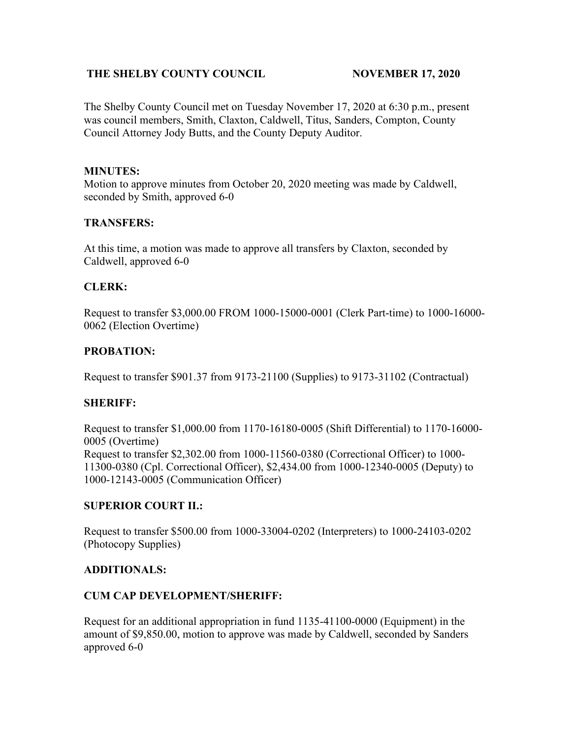## **THE SHELBY COUNTY COUNCIL NOVEMBER 17, 2020**

The Shelby County Council met on Tuesday November 17, 2020 at 6:30 p.m., present was council members, Smith, Claxton, Caldwell, Titus, Sanders, Compton, County Council Attorney Jody Butts, and the County Deputy Auditor.

## **MINUTES:**

Motion to approve minutes from October 20, 2020 meeting was made by Caldwell, seconded by Smith, approved 6-0

## **TRANSFERS:**

At this time, a motion was made to approve all transfers by Claxton, seconded by Caldwell, approved 6-0

# **CLERK:**

Request to transfer \$3,000.00 FROM 1000-15000-0001 (Clerk Part-time) to 1000-16000- 0062 (Election Overtime)

# **PROBATION:**

Request to transfer \$901.37 from 9173-21100 (Supplies) to 9173-31102 (Contractual)

# **SHERIFF:**

Request to transfer \$1,000.00 from 1170-16180-0005 (Shift Differential) to 1170-16000- 0005 (Overtime) Request to transfer \$2,302.00 from 1000-11560-0380 (Correctional Officer) to 1000- 11300-0380 (Cpl. Correctional Officer), \$2,434.00 from 1000-12340-0005 (Deputy) to 1000-12143-0005 (Communication Officer)

# **SUPERIOR COURT II.:**

Request to transfer \$500.00 from 1000-33004-0202 (Interpreters) to 1000-24103-0202 (Photocopy Supplies)

### **ADDITIONALS:**

### **CUM CAP DEVELOPMENT/SHERIFF:**

Request for an additional appropriation in fund 1135-41100-0000 (Equipment) in the amount of \$9,850.00, motion to approve was made by Caldwell, seconded by Sanders approved 6-0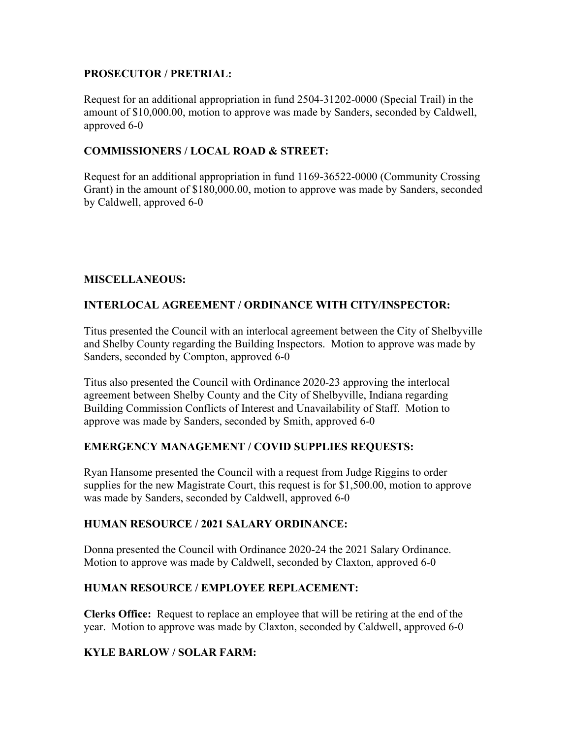## **PROSECUTOR / PRETRIAL:**

Request for an additional appropriation in fund 2504-31202-0000 (Special Trail) in the amount of \$10,000.00, motion to approve was made by Sanders, seconded by Caldwell, approved 6-0

## **COMMISSIONERS / LOCAL ROAD & STREET:**

Request for an additional appropriation in fund 1169-36522-0000 (Community Crossing Grant) in the amount of \$180,000.00, motion to approve was made by Sanders, seconded by Caldwell, approved 6-0

# **MISCELLANEOUS:**

# **INTERLOCAL AGREEMENT / ORDINANCE WITH CITY/INSPECTOR:**

Titus presented the Council with an interlocal agreement between the City of Shelbyville and Shelby County regarding the Building Inspectors. Motion to approve was made by Sanders, seconded by Compton, approved 6-0

Titus also presented the Council with Ordinance 2020-23 approving the interlocal agreement between Shelby County and the City of Shelbyville, Indiana regarding Building Commission Conflicts of Interest and Unavailability of Staff. Motion to approve was made by Sanders, seconded by Smith, approved 6-0

# **EMERGENCY MANAGEMENT / COVID SUPPLIES REQUESTS:**

Ryan Hansome presented the Council with a request from Judge Riggins to order supplies for the new Magistrate Court, this request is for \$1,500.00, motion to approve was made by Sanders, seconded by Caldwell, approved 6-0

### **HUMAN RESOURCE / 2021 SALARY ORDINANCE:**

Donna presented the Council with Ordinance 2020-24 the 2021 Salary Ordinance. Motion to approve was made by Caldwell, seconded by Claxton, approved 6-0

### **HUMAN RESOURCE / EMPLOYEE REPLACEMENT:**

**Clerks Office:** Request to replace an employee that will be retiring at the end of the year. Motion to approve was made by Claxton, seconded by Caldwell, approved 6-0

# **KYLE BARLOW / SOLAR FARM:**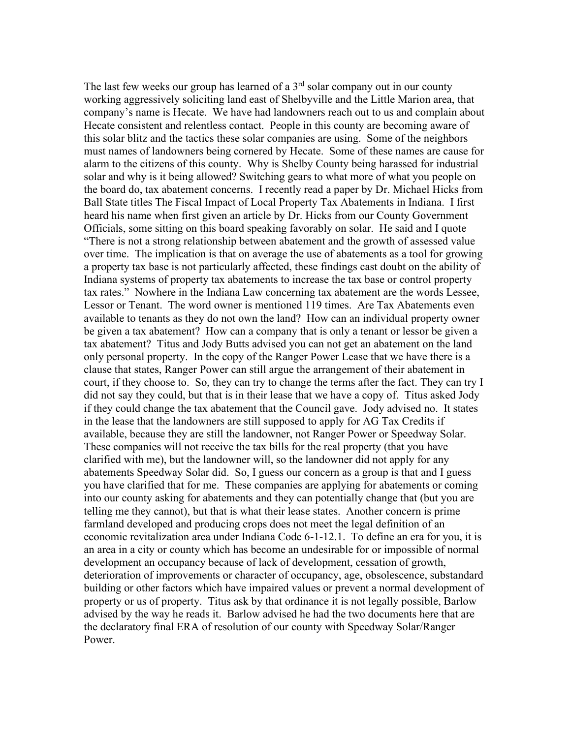The last few weeks our group has learned of a  $3<sup>rd</sup>$  solar company out in our county working aggressively soliciting land east of Shelbyville and the Little Marion area, that company's name is Hecate. We have had landowners reach out to us and complain about Hecate consistent and relentless contact. People in this county are becoming aware of this solar blitz and the tactics these solar companies are using. Some of the neighbors must names of landowners being cornered by Hecate. Some of these names are cause for alarm to the citizens of this county. Why is Shelby County being harassed for industrial solar and why is it being allowed? Switching gears to what more of what you people on the board do, tax abatement concerns. I recently read a paper by Dr. Michael Hicks from Ball State titles The Fiscal Impact of Local Property Tax Abatements in Indiana. I first heard his name when first given an article by Dr. Hicks from our County Government Officials, some sitting on this board speaking favorably on solar. He said and I quote "There is not a strong relationship between abatement and the growth of assessed value over time. The implication is that on average the use of abatements as a tool for growing a property tax base is not particularly affected, these findings cast doubt on the ability of Indiana systems of property tax abatements to increase the tax base or control property tax rates." Nowhere in the Indiana Law concerning tax abatement are the words Lessee, Lessor or Tenant. The word owner is mentioned 119 times. Are Tax Abatements even available to tenants as they do not own the land? How can an individual property owner be given a tax abatement? How can a company that is only a tenant or lessor be given a tax abatement? Titus and Jody Butts advised you can not get an abatement on the land only personal property. In the copy of the Ranger Power Lease that we have there is a clause that states, Ranger Power can still argue the arrangement of their abatement in court, if they choose to. So, they can try to change the terms after the fact. They can try I did not say they could, but that is in their lease that we have a copy of. Titus asked Jody if they could change the tax abatement that the Council gave. Jody advised no. It states in the lease that the landowners are still supposed to apply for AG Tax Credits if available, because they are still the landowner, not Ranger Power or Speedway Solar. These companies will not receive the tax bills for the real property (that you have clarified with me), but the landowner will, so the landowner did not apply for any abatements Speedway Solar did. So, I guess our concern as a group is that and I guess you have clarified that for me. These companies are applying for abatements or coming into our county asking for abatements and they can potentially change that (but you are telling me they cannot), but that is what their lease states. Another concern is prime farmland developed and producing crops does not meet the legal definition of an economic revitalization area under Indiana Code 6-1-12.1. To define an era for you, it is an area in a city or county which has become an undesirable for or impossible of normal development an occupancy because of lack of development, cessation of growth, deterioration of improvements or character of occupancy, age, obsolescence, substandard building or other factors which have impaired values or prevent a normal development of property or us of property. Titus ask by that ordinance it is not legally possible, Barlow advised by the way he reads it. Barlow advised he had the two documents here that are the declaratory final ERA of resolution of our county with Speedway Solar/Ranger Power.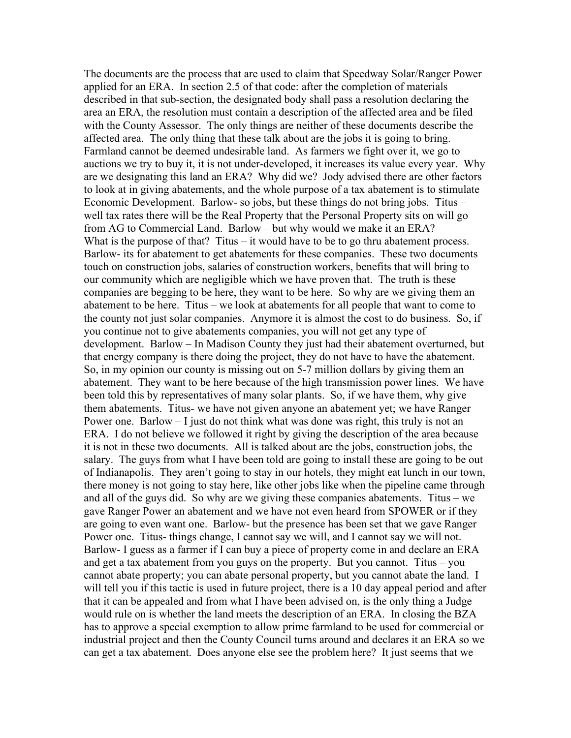The documents are the process that are used to claim that Speedway Solar/Ranger Power applied for an ERA. In section 2.5 of that code: after the completion of materials described in that sub-section, the designated body shall pass a resolution declaring the area an ERA, the resolution must contain a description of the affected area and be filed with the County Assessor. The only things are neither of these documents describe the affected area. The only thing that these talk about are the jobs it is going to bring. Farmland cannot be deemed undesirable land. As farmers we fight over it, we go to auctions we try to buy it, it is not under-developed, it increases its value every year. Why are we designating this land an ERA? Why did we? Jody advised there are other factors to look at in giving abatements, and the whole purpose of a tax abatement is to stimulate Economic Development. Barlow- so jobs, but these things do not bring jobs. Titus – well tax rates there will be the Real Property that the Personal Property sits on will go from AG to Commercial Land. Barlow – but why would we make it an ERA? What is the purpose of that? Titus  $-$  it would have to be to go thru abatement process. Barlow- its for abatement to get abatements for these companies. These two documents touch on construction jobs, salaries of construction workers, benefits that will bring to our community which are negligible which we have proven that. The truth is these companies are begging to be here, they want to be here. So why are we giving them an abatement to be here. Titus – we look at abatements for all people that want to come to the county not just solar companies. Anymore it is almost the cost to do business. So, if you continue not to give abatements companies, you will not get any type of development. Barlow – In Madison County they just had their abatement overturned, but that energy company is there doing the project, they do not have to have the abatement. So, in my opinion our county is missing out on 5-7 million dollars by giving them an abatement. They want to be here because of the high transmission power lines. We have been told this by representatives of many solar plants. So, if we have them, why give them abatements. Titus- we have not given anyone an abatement yet; we have Ranger Power one. Barlow – I just do not think what was done was right, this truly is not an ERA. I do not believe we followed it right by giving the description of the area because it is not in these two documents. All is talked about are the jobs, construction jobs, the salary. The guys from what I have been told are going to install these are going to be out of Indianapolis. They aren't going to stay in our hotels, they might eat lunch in our town, there money is not going to stay here, like other jobs like when the pipeline came through and all of the guys did. So why are we giving these companies abatements. Titus – we gave Ranger Power an abatement and we have not even heard from SPOWER or if they are going to even want one. Barlow- but the presence has been set that we gave Ranger Power one. Titus- things change, I cannot say we will, and I cannot say we will not. Barlow- I guess as a farmer if I can buy a piece of property come in and declare an ERA and get a tax abatement from you guys on the property. But you cannot. Titus – you cannot abate property; you can abate personal property, but you cannot abate the land. I will tell you if this tactic is used in future project, there is a 10 day appeal period and after that it can be appealed and from what I have been advised on, is the only thing a Judge would rule on is whether the land meets the description of an ERA. In closing the BZA has to approve a special exemption to allow prime farmland to be used for commercial or industrial project and then the County Council turns around and declares it an ERA so we can get a tax abatement. Does anyone else see the problem here? It just seems that we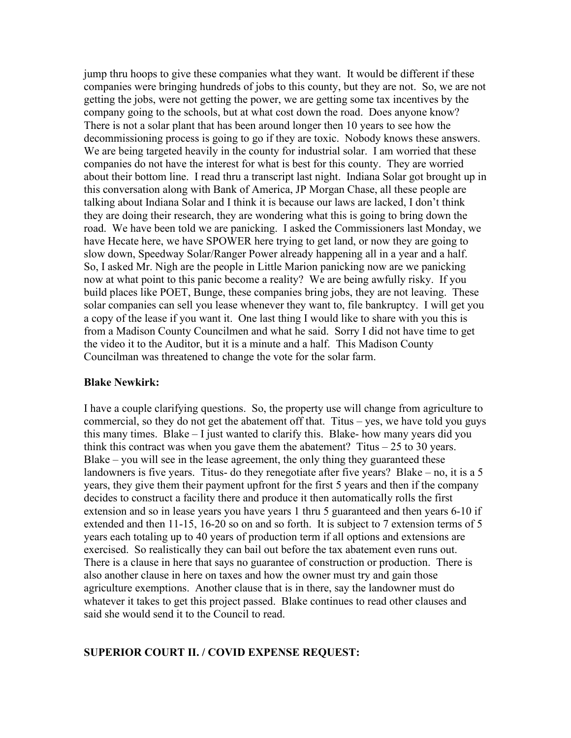jump thru hoops to give these companies what they want. It would be different if these companies were bringing hundreds of jobs to this county, but they are not. So, we are not getting the jobs, were not getting the power, we are getting some tax incentives by the company going to the schools, but at what cost down the road. Does anyone know? There is not a solar plant that has been around longer then 10 years to see how the decommissioning process is going to go if they are toxic. Nobody knows these answers. We are being targeted heavily in the county for industrial solar. I am worried that these companies do not have the interest for what is best for this county. They are worried about their bottom line. I read thru a transcript last night. Indiana Solar got brought up in this conversation along with Bank of America, JP Morgan Chase, all these people are talking about Indiana Solar and I think it is because our laws are lacked, I don't think they are doing their research, they are wondering what this is going to bring down the road. We have been told we are panicking. I asked the Commissioners last Monday, we have Hecate here, we have SPOWER here trying to get land, or now they are going to slow down, Speedway Solar/Ranger Power already happening all in a year and a half. So, I asked Mr. Nigh are the people in Little Marion panicking now are we panicking now at what point to this panic become a reality? We are being awfully risky. If you build places like POET, Bunge, these companies bring jobs, they are not leaving. These solar companies can sell you lease whenever they want to, file bankruptcy. I will get you a copy of the lease if you want it. One last thing I would like to share with you this is from a Madison County Councilmen and what he said. Sorry I did not have time to get the video it to the Auditor, but it is a minute and a half. This Madison County Councilman was threatened to change the vote for the solar farm.

#### **Blake Newkirk:**

I have a couple clarifying questions. So, the property use will change from agriculture to commercial, so they do not get the abatement off that. Titus – yes, we have told you guys this many times. Blake – I just wanted to clarify this. Blake- how many years did you think this contract was when you gave them the abatement? Titus  $-25$  to 30 years. Blake – you will see in the lease agreement, the only thing they guaranteed these landowners is five years. Titus- do they renegotiate after five years? Blake – no, it is a 5 years, they give them their payment upfront for the first 5 years and then if the company decides to construct a facility there and produce it then automatically rolls the first extension and so in lease years you have years 1 thru 5 guaranteed and then years 6-10 if extended and then 11-15, 16-20 so on and so forth. It is subject to 7 extension terms of 5 years each totaling up to 40 years of production term if all options and extensions are exercised. So realistically they can bail out before the tax abatement even runs out. There is a clause in here that says no guarantee of construction or production. There is also another clause in here on taxes and how the owner must try and gain those agriculture exemptions. Another clause that is in there, say the landowner must do whatever it takes to get this project passed. Blake continues to read other clauses and said she would send it to the Council to read.

#### **SUPERIOR COURT II. / COVID EXPENSE REQUEST:**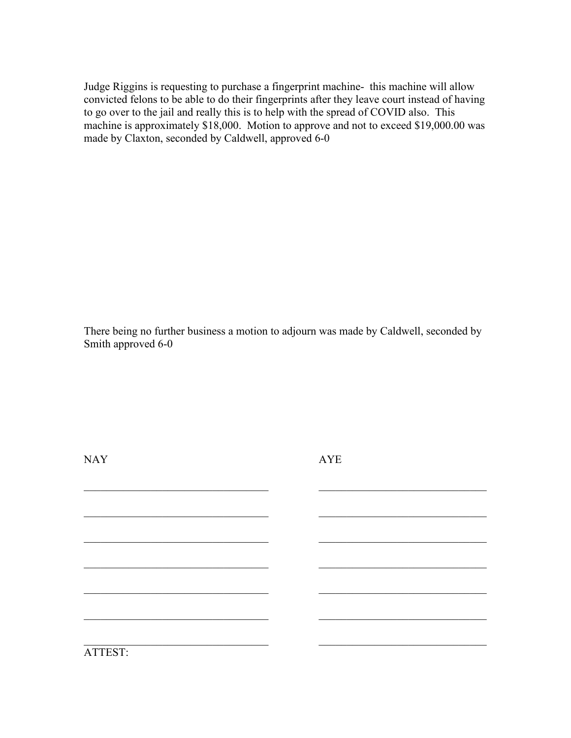Judge Riggins is requesting to purchase a fingerprint machine- this machine will allow convicted felons to be able to do their fingerprints after they leave court instead of having to go over to the jail and really this is to help with the spread of COVID also. This machine is approximately \$18,000. Motion to approve and not to exceed \$19,000.00 was made by Claxton, seconded by Caldwell, approved 6-0

There being no further business a motion to adjourn was made by Caldwell, seconded by Smith approved 6-0

 $\_$  , and the contribution of the contribution of  $\_$  . The contribution of  $\_$  ,  $\_$  ,  $\_$  ,  $\_$  ,  $\_$  ,  $\_$  ,  $\_$  ,  $\_$  ,  $\_$  ,  $\_$  ,  $\_$  ,  $\_$  ,  $\_$  ,  $\_$  ,  $\_$  ,  $\_$  ,  $\_$  ,  $\_$  ,  $\_$  ,  $\_$  ,  $\_$  ,  $\_$  ,  $\_$  ,  $\_$  ,

 $\_$  , and the set of the set of the set of the set of the set of the set of the set of the set of the set of the set of the set of the set of the set of the set of the set of the set of the set of the set of the set of th

 $\_$  , and the contribution of the contribution of  $\_$  . The contribution of  $\_$  ,  $\_$  ,  $\_$  ,  $\_$  ,  $\_$  ,  $\_$  ,  $\_$  ,  $\_$  ,  $\_$  ,  $\_$  ,  $\_$  ,  $\_$  ,  $\_$  ,  $\_$  ,  $\_$  ,  $\_$  ,  $\_$  ,  $\_$  ,  $\_$  ,  $\_$  ,  $\_$  ,  $\_$  ,  $\_$  ,  $\_$  ,

 $\_$  , and the contribution of the contribution of  $\_$  . The contribution of  $\_$  ,  $\_$  ,  $\_$  ,  $\_$  ,  $\_$  ,  $\_$  ,  $\_$  ,  $\_$  ,  $\_$  ,  $\_$  ,  $\_$  ,  $\_$  ,  $\_$  ,  $\_$  ,  $\_$  ,  $\_$  ,  $\_$  ,  $\_$  ,  $\_$  ,  $\_$  ,  $\_$  ,  $\_$  ,  $\_$  ,  $\_$  ,

 $\_$  , and the contribution of the contribution of  $\_$  . The contribution of  $\_$  ,  $\_$  ,  $\_$  ,  $\_$  ,  $\_$  ,  $\_$  ,  $\_$  ,  $\_$  ,  $\_$  ,  $\_$  ,  $\_$  ,  $\_$  ,  $\_$  ,  $\_$  ,  $\_$  ,  $\_$  ,  $\_$  ,  $\_$  ,  $\_$  ,  $\_$  ,  $\_$  ,  $\_$  ,  $\_$  ,  $\_$  ,

NAY AYE

ATTEST: